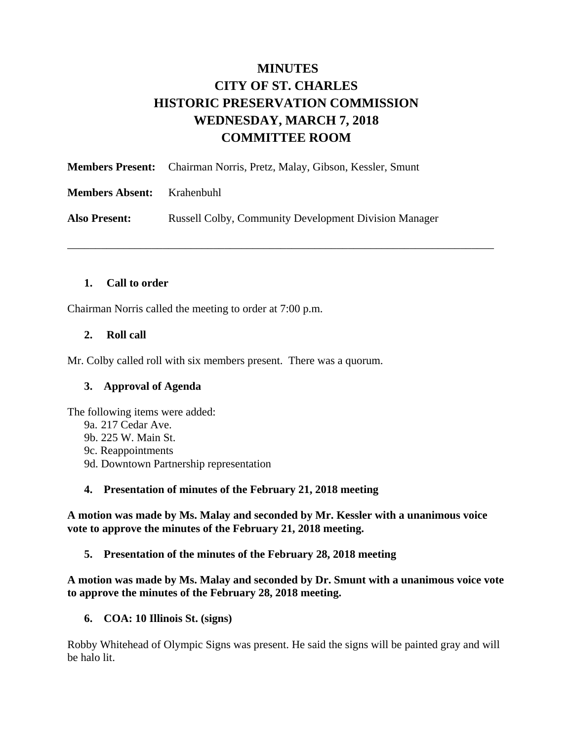# **MINUTES CITY OF ST. CHARLES HISTORIC PRESERVATION COMMISSION WEDNESDAY, MARCH 7, 2018 COMMITTEE ROOM**

\_\_\_\_\_\_\_\_\_\_\_\_\_\_\_\_\_\_\_\_\_\_\_\_\_\_\_\_\_\_\_\_\_\_\_\_\_\_\_\_\_\_\_\_\_\_\_\_\_\_\_\_\_\_\_\_\_\_\_\_\_\_\_\_\_\_\_\_\_\_\_\_\_\_\_\_

|                        | <b>Members Present:</b> Chairman Norris, Pretz, Malay, Gibson, Kessler, Smunt |
|------------------------|-------------------------------------------------------------------------------|
| <b>Members Absent:</b> | Krahenbuhl                                                                    |
| <b>Also Present:</b>   | <b>Russell Colby, Community Development Division Manager</b>                  |

### **1. Call to order**

Chairman Norris called the meeting to order at 7:00 p.m.

### **2. Roll call**

Mr. Colby called roll with six members present. There was a quorum.

### **3. Approval of Agenda**

The following items were added:

- 9a. 217 Cedar Ave.
- 9b. 225 W. Main St.
- 9c. Reappointments
- 9d. Downtown Partnership representation

### **4. Presentation of minutes of the February 21, 2018 meeting**

**A motion was made by Ms. Malay and seconded by Mr. Kessler with a unanimous voice vote to approve the minutes of the February 21, 2018 meeting.** 

**5. Presentation of the minutes of the February 28, 2018 meeting** 

**A motion was made by Ms. Malay and seconded by Dr. Smunt with a unanimous voice vote to approve the minutes of the February 28, 2018 meeting.** 

**6. COA: 10 Illinois St. (signs)** 

Robby Whitehead of Olympic Signs was present. He said the signs will be painted gray and will be halo lit.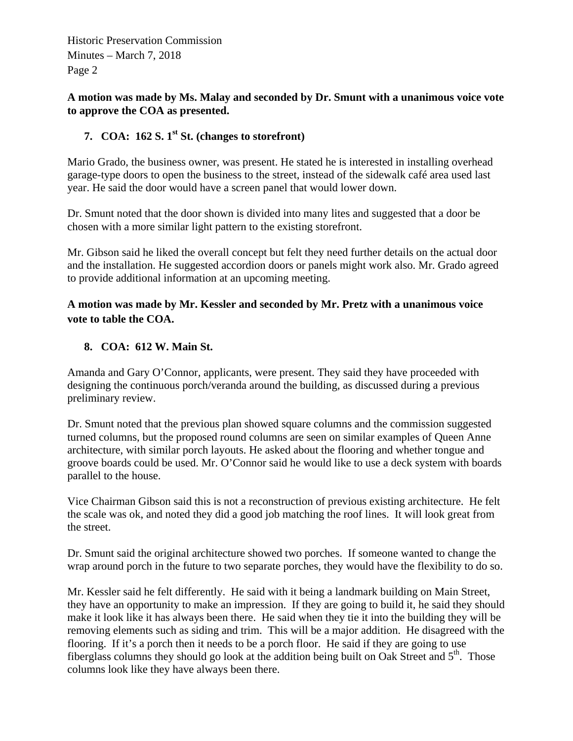**A motion was made by Ms. Malay and seconded by Dr. Smunt with a unanimous voice vote to approve the COA as presented.** 

### **7. COA:**  $162$  **S.**  $1^{st}$  **St.** (changes to storefront)

Mario Grado, the business owner, was present. He stated he is interested in installing overhead garage-type doors to open the business to the street, instead of the sidewalk café area used last year. He said the door would have a screen panel that would lower down.

Dr. Smunt noted that the door shown is divided into many lites and suggested that a door be chosen with a more similar light pattern to the existing storefront.

Mr. Gibson said he liked the overall concept but felt they need further details on the actual door and the installation. He suggested accordion doors or panels might work also. Mr. Grado agreed to provide additional information at an upcoming meeting.

### **A motion was made by Mr. Kessler and seconded by Mr. Pretz with a unanimous voice vote to table the COA.**

### **8. COA: 612 W. Main St.**

Amanda and Gary O'Connor, applicants, were present. They said they have proceeded with designing the continuous porch/veranda around the building, as discussed during a previous preliminary review.

Dr. Smunt noted that the previous plan showed square columns and the commission suggested turned columns, but the proposed round columns are seen on similar examples of Queen Anne architecture, with similar porch layouts. He asked about the flooring and whether tongue and groove boards could be used. Mr. O'Connor said he would like to use a deck system with boards parallel to the house.

Vice Chairman Gibson said this is not a reconstruction of previous existing architecture. He felt the scale was ok, and noted they did a good job matching the roof lines. It will look great from the street.

Dr. Smunt said the original architecture showed two porches. If someone wanted to change the wrap around porch in the future to two separate porches, they would have the flexibility to do so.

Mr. Kessler said he felt differently. He said with it being a landmark building on Main Street, they have an opportunity to make an impression. If they are going to build it, he said they should make it look like it has always been there. He said when they tie it into the building they will be removing elements such as siding and trim. This will be a major addition. He disagreed with the flooring. If it's a porch then it needs to be a porch floor. He said if they are going to use fiberglass columns they should go look at the addition being built on Oak Street and 5<sup>th</sup>. Those columns look like they have always been there.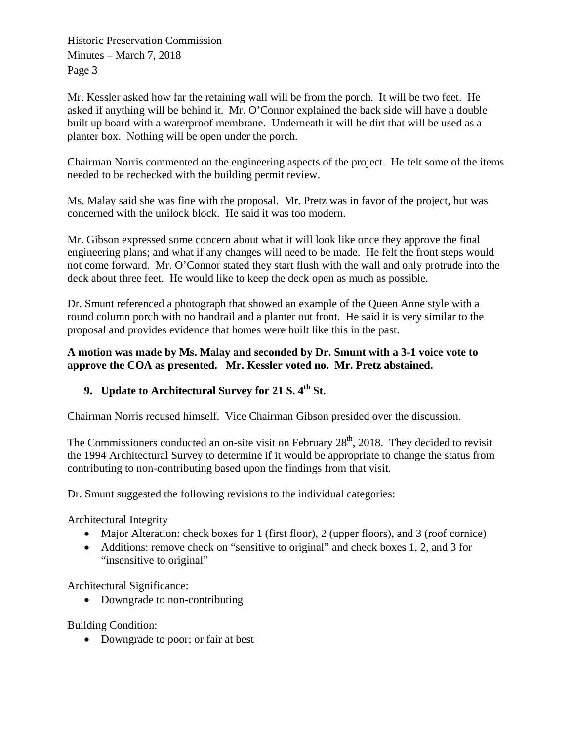Mr. Kessler asked how far the retaining wall will be from the porch. It will be two feet. He asked if anything will be behind it. Mr. O'Connor explained the back side will have a double built up board with a waterproof membrane. Underneath it will be dirt that will be used as a planter box. Nothing will be open under the porch.

Chairman Norris commented on the engineering aspects of the project. He felt some of the items needed to be rechecked with the building permit review.

Ms. Malay said she was fine with the proposal. Mr. Pretz was in favor of the project, but was concerned with the unilock block. He said it was too modern.

Mr. Gibson expressed some concern about what it will look like once they approve the final engineering plans; and what if any changes will need to be made. He felt the front steps would not come forward. Mr. O'Connor stated they start flush with the wall and only protrude into the deck about three feet. He would like to keep the deck open as much as possible.

Dr. Smunt referenced a photograph that showed an example of the Queen Anne style with a round column porch with no handrail and a planter out front. He said it is very similar to the proposal and provides evidence that homes were built like this in the past.

### **A motion was made by Ms. Malay and seconded by Dr. Smunt with a 3-1 voice vote to approve the COA as presented. Mr. Kessler voted no. Mr. Pretz abstained.**

## **9. Update to Architectural Survey for 21 S. 4th St.**

Chairman Norris recused himself. Vice Chairman Gibson presided over the discussion.

The Commissioners conducted an on-site visit on February  $28<sup>th</sup>$ , 2018. They decided to revisit the 1994 Architectural Survey to determine if it would be appropriate to change the status from contributing to non-contributing based upon the findings from that visit.

Dr. Smunt suggested the following revisions to the individual categories:

Architectural Integrity

- Major Alteration: check boxes for 1 (first floor), 2 (upper floors), and 3 (roof cornice)
- Additions: remove check on "sensitive to original" and check boxes 1, 2, and 3 for "insensitive to original"

Architectural Significance:

• Downgrade to non-contributing

Building Condition:

• Downgrade to poor; or fair at best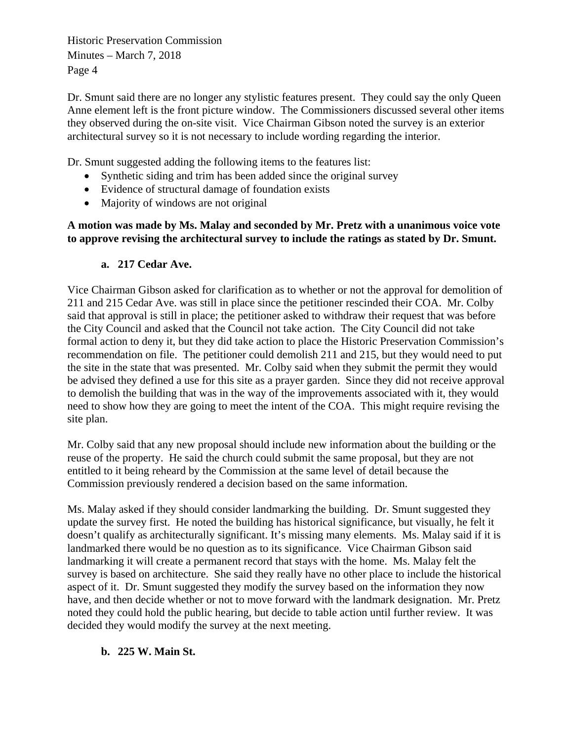Dr. Smunt said there are no longer any stylistic features present. They could say the only Queen Anne element left is the front picture window. The Commissioners discussed several other items they observed during the on-site visit. Vice Chairman Gibson noted the survey is an exterior architectural survey so it is not necessary to include wording regarding the interior.

Dr. Smunt suggested adding the following items to the features list:

- Synthetic siding and trim has been added since the original survey
- Evidence of structural damage of foundation exists
- Majority of windows are not original

### **A motion was made by Ms. Malay and seconded by Mr. Pretz with a unanimous voice vote to approve revising the architectural survey to include the ratings as stated by Dr. Smunt.**

### **a. 217 Cedar Ave.**

Vice Chairman Gibson asked for clarification as to whether or not the approval for demolition of 211 and 215 Cedar Ave. was still in place since the petitioner rescinded their COA. Mr. Colby said that approval is still in place; the petitioner asked to withdraw their request that was before the City Council and asked that the Council not take action. The City Council did not take formal action to deny it, but they did take action to place the Historic Preservation Commission's recommendation on file. The petitioner could demolish 211 and 215, but they would need to put the site in the state that was presented. Mr. Colby said when they submit the permit they would be advised they defined a use for this site as a prayer garden. Since they did not receive approval to demolish the building that was in the way of the improvements associated with it, they would need to show how they are going to meet the intent of the COA. This might require revising the site plan.

Mr. Colby said that any new proposal should include new information about the building or the reuse of the property. He said the church could submit the same proposal, but they are not entitled to it being reheard by the Commission at the same level of detail because the Commission previously rendered a decision based on the same information.

Ms. Malay asked if they should consider landmarking the building. Dr. Smunt suggested they update the survey first. He noted the building has historical significance, but visually, he felt it doesn't qualify as architecturally significant. It's missing many elements. Ms. Malay said if it is landmarked there would be no question as to its significance. Vice Chairman Gibson said landmarking it will create a permanent record that stays with the home. Ms. Malay felt the survey is based on architecture. She said they really have no other place to include the historical aspect of it. Dr. Smunt suggested they modify the survey based on the information they now have, and then decide whether or not to move forward with the landmark designation. Mr. Pretz noted they could hold the public hearing, but decide to table action until further review. It was decided they would modify the survey at the next meeting.

### **b. 225 W. Main St.**